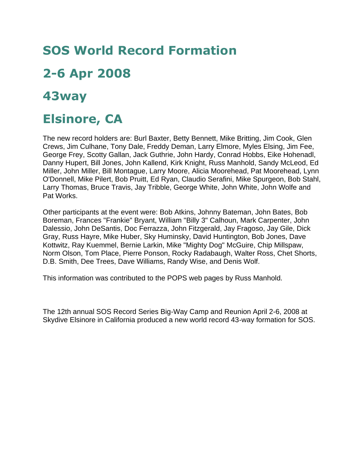## **SOS World Record Formation**

## **2-6 Apr 2008**

## **43way**

## **Elsinore, CA**

The new record holders are: Burl Baxter, Betty Bennett, Mike Britting, Jim Cook, Glen Crews, Jim Culhane, Tony Dale, Freddy Deman, Larry Elmore, Myles Elsing, Jim Fee, George Frey, Scotty Gallan, Jack Guthrie, John Hardy, Conrad Hobbs, Eike Hohenadl, Danny Hupert, Bill Jones, John Kallend, Kirk Knight, Russ Manhold, Sandy McLeod, Ed Miller, John Miller, Bill Montague, Larry Moore, Alicia Moorehead, Pat Moorehead, Lynn O'Donnell, Mike Pilert, Bob Pruitt, Ed Ryan, Claudio Serafini, Mike Spurgeon, Bob Stahl, Larry Thomas, Bruce Travis, Jay Tribble, George White, John White, John Wolfe and Pat Works.

Other participants at the event were: Bob Atkins, Johnny Bateman, John Bates, Bob Boreman, Frances "Frankie" Bryant, William "Billy 3" Calhoun, Mark Carpenter, John Dalessio, John DeSantis, Doc Ferrazza, John Fitzgerald, Jay Fragoso, Jay Gile, Dick Gray, Russ Hayre, Mike Huber, Sky Huminsky, David Huntington, Bob Jones, Dave Kottwitz, Ray Kuemmel, Bernie Larkin, Mike "Mighty Dog" McGuire, Chip Millspaw, Norm Olson, Tom Place, Pierre Ponson, Rocky Radabaugh, Walter Ross, Chet Shorts, D.B. Smith, Dee Trees, Dave Williams, Randy Wise, and Denis Wolf.

This information was contributed to the POPS web pages by Russ Manhold.

The 12th annual SOS Record Series Big-Way Camp and Reunion April 2-6, 2008 at Skydive Elsinore in California produced a new world record 43-way formation for SOS.